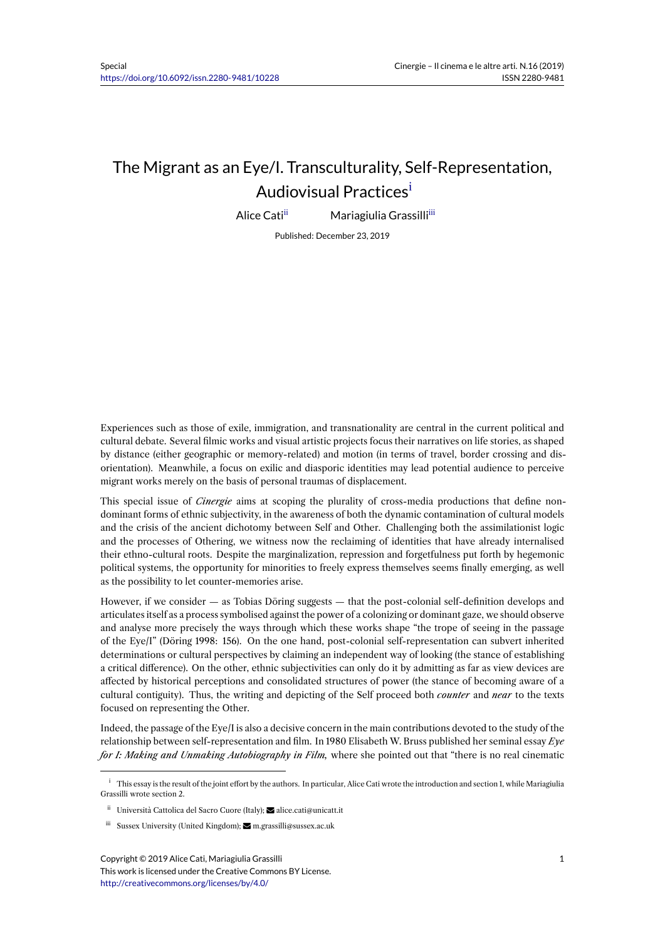## The Migrant as an Eye/I. Transculturality, Self-Representation, Audiovisual Practices<sup>i</sup>

Alice Cati<sup>ii</sup> Mariagiulia Grassilli<sup>iii</sup>

Published: December 23, 2019

Experiences such as those of exile, immigration, and transnationality are central in the current political and cultural debate. Several filmic works and visual artistic projects focus their narratives on life stories, as shaped by distance (either geographic or memory-related) and motion (in terms of travel, border crossing and disorientation). Meanwhile, a focus on exilic and diasporic identities may lead potential audience to perceive migrant works merely on the basis of personal traumas of displacement.

This special issue of *Cinergie* aims at scoping the plurality of cross-media productions that define nondominant forms of ethnic subjectivity, in the awareness of both the dynamic contamination of cultural models and the crisis of the ancient dichotomy between Self and Other. Challenging both the assimilationist logic and the processes of Othering, we witness now the reclaiming of identities that have already internalised their ethno-cultural roots. Despite the marginalization, repression and forgetfulness put forth by hegemonic political systems, the opportunity for minorities to freely express themselves seems finally emerging, as well as the possibility to let counter-memories arise.

However, if we consider — as Tobias Döring suggests — that the post-colonial self-definition develops and articulates itself as a process symbolised against the power of a colonizing or dominant gaze, we should observe and analyse more precisely the ways through which these works shape "the trope of seeing in the passage of the Eye/I" (Döring 1998: 156). On the one hand, post-colonial self-representation can subvert inherited determinations or cultural perspectives by claiming an independent way of looking (the stance of establishing a critical difference). On the other, ethnic subjectivities can only do it by admitting as far as view devices are affected by historical perceptions and consolidated structures of power (the stance of becoming aware of a cultural contiguity). Thus, the writing and depicting of the Self proceed both *counter* and *near* to the texts focused on representing the Other.

Indeed, the passage of the Eye/I is also a decisive concern in the main contributions devoted to the study of the relationship between self-representation and film. In 1980 Elisabeth W. Bruss published her seminal essay *Eye for I: Making and Unmaking Autobiography in Film,* where she pointed out that "there is no real cinematic

<sup>&</sup>lt;sup>i</sup> This essay is the result of the joint effort by the authors. In particular, Alice Cati wrote the introduction and section 1, while Mariagiulia Grassilli wrote section 2.

ii Università Cattolica del Sacro Cuore (Italy); **≥** alice.cati@unicatt.it

iii Sussex University (United Kingdom); **M** m.grassilli@sussex.ac.uk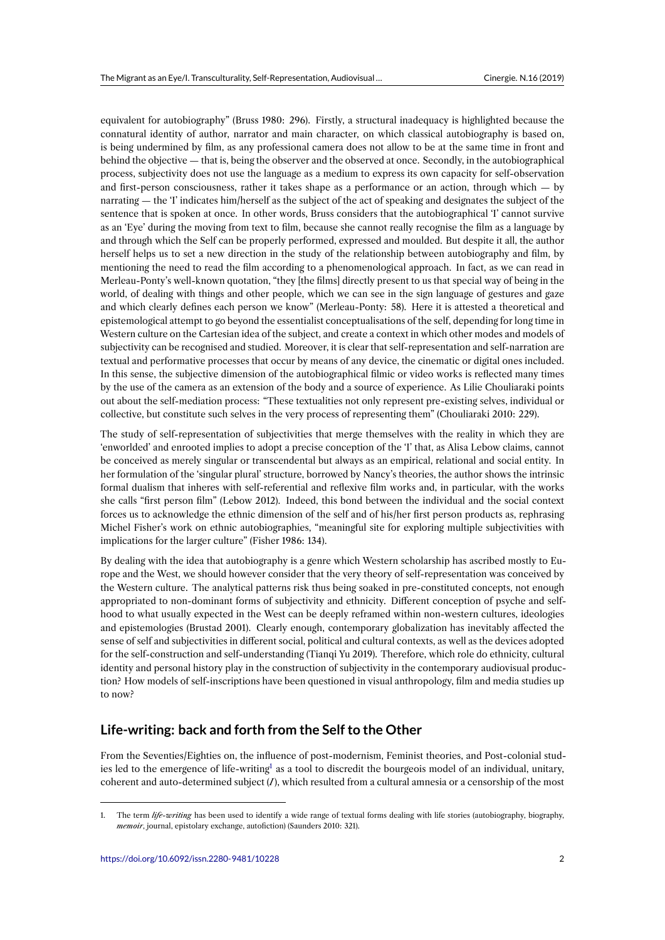equivalent for autobiography" (Bruss 1980: 296). Firstly, a structural inadequacy is highlighted because the connatural identity of author, narrator and main character, on which classical autobiography is based on, is being undermined by film, as any professional camera does not allow to be at the same time in front and behind the objective — that is, being the observer and the observed at once. Secondly, in the autobiographical process, subjectivity does not use the language as a medium to express its own capacity for self-observation and first-person consciousness, rather it takes shape as a performance or an action, through which — by narrating — the 'I' indicates him/herself as the subject of the act of speaking and designates the subject of the sentence that is spoken at once. In other words, Bruss considers that the autobiographical 'I' cannot survive as an 'Eye' during the moving from text to film, because she cannot really recognise the film as a language by and through which the Self can be properly performed, expressed and moulded. But despite it all, the author herself helps us to set a new direction in the study of the relationship between autobiography and film, by mentioning the need to read the film according to a phenomenological approach. In fact, as we can read in Merleau-Ponty's well-known quotation, "they [the films] directly present to us that special way of being in the world, of dealing with things and other people, which we can see in the sign language of gestures and gaze and which clearly defines each person we know" (Merleau-Ponty: 58). Here it is attested a theoretical and epistemological attempt to go beyond the essentialist conceptualisations of the self, depending for long time in Western culture on the Cartesian idea of the subject, and create a context in which other modes and models of subjectivity can be recognised and studied. Moreover, it is clear that self-representation and self-narration are textual and performative processes that occur by means of any device, the cinematic or digital ones included. In this sense, the subjective dimension of the autobiographical filmic or video works is reflected many times by the use of the camera as an extension of the body and a source of experience. As Lilie Chouliaraki points out about the self-mediation process: "These textualities not only represent pre-existing selves, individual or collective, but constitute such selves in the very process of representing them" (Chouliaraki 2010: 229).

The study of self-representation of subjectivities that merge themselves with the reality in which they are 'enworlded' and enrooted implies to adopt a precise conception of the 'I' that, as Alisa Lebow claims, cannot be conceived as merely singular or transcendental but always as an empirical, relational and social entity. In her formulation of the 'singular plural' structure, borrowed by Nancy's theories, the author shows the intrinsic formal dualism that inheres with self-referential and reflexive film works and, in particular, with the works she calls "first person film" (Lebow 2012). Indeed, this bond between the individual and the social context forces us to acknowledge the ethnic dimension of the self and of his/her first person products as, rephrasing Michel Fisher's work on ethnic autobiographies, "meaningful site for exploring multiple subjectivities with implications for the larger culture" (Fisher 1986: 134).

By dealing with the idea that autobiography is a genre which Western scholarship has ascribed mostly to Europe and the West, we should however consider that the very theory of self-representation was conceived by the Western culture. The analytical patterns risk thus being soaked in pre-constituted concepts, not enough appropriated to non-dominant forms of subjectivity and ethnicity. Different conception of psyche and selfhood to what usually expected in the West can be deeply reframed within non-western cultures, ideologies and epistemologies (Brustad 2001). Clearly enough, contemporary globalization has inevitably affected the sense of self and subjectivities in different social, political and cultural contexts, as well as the devices adopted for the self-construction and self-understanding (Tianqi Yu 2019). Therefore, which role do ethnicity, cultural identity and personal history play in the construction of subjectivity in the contemporary audiovisual production? How models of self-inscriptions have been questioned in visual anthropology, film and media studies up to now?

## **Life-writing: back and forth from the Self to the Other**

From the Seventies/Eighties on, the influence of post-modernism, Feminist theories, and Post-colonial studies led to the emergence of life-writing<sup>1</sup> as a tool to discredit the bourgeois model of an individual, unitary, coherent and auto-determined subject (*I*), which resulted from a cultural amnesia or a censorship of the most

<span id="page-1-0"></span><sup>1.</sup> The term *life-writing* has been used to identify a wide range of textual forms dealing with life stories (autobiography, biography, *memoir*, journal, epistolary exchange, autofi[ct](#page-1-0)ion) (Saunders 2010: 321).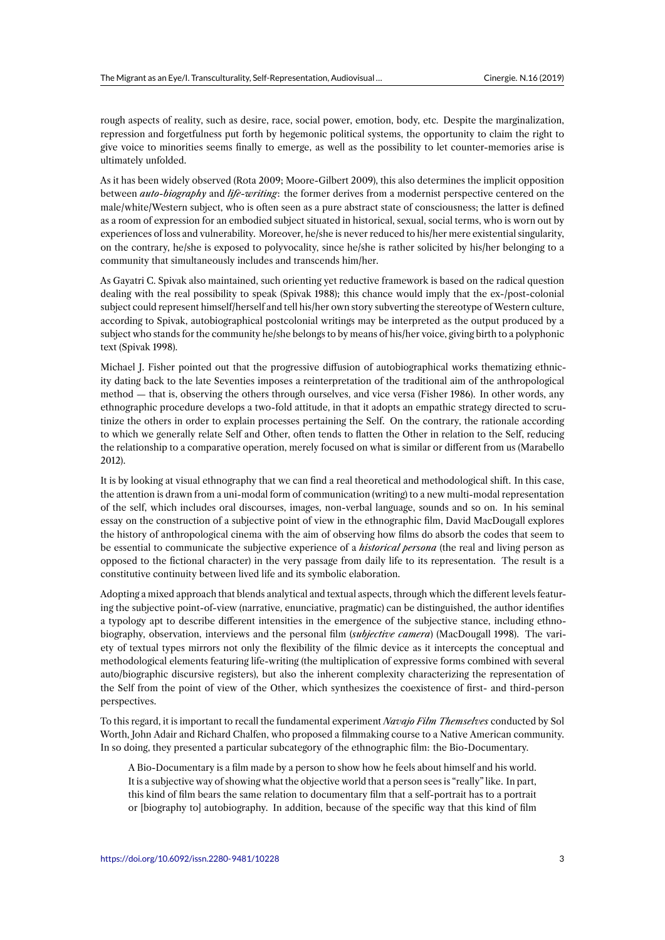rough aspects of reality, such as desire, race, social power, emotion, body, etc. Despite the marginalization, repression and forgetfulness put forth by hegemonic political systems, the opportunity to claim the right to give voice to minorities seems finally to emerge, as well as the possibility to let counter-memories arise is ultimately unfolded.

As it has been widely observed (Rota 2009; Moore-Gilbert 2009), this also determines the implicit opposition between *auto-biography* and *life-writing*: the former derives from a modernist perspective centered on the male/white/Western subject, who is often seen as a pure abstract state of consciousness; the latter is defined as a room of expression for an embodied subject situated in historical, sexual, social terms, who is worn out by experiences of loss and vulnerability. Moreover, he/she is never reduced to his/her mere existential singularity, on the contrary, he/she is exposed to polyvocality, since he/she is rather solicited by his/her belonging to a community that simultaneously includes and transcends him/her.

As Gayatri C. Spivak also maintained, such orienting yet reductive framework is based on the radical question dealing with the real possibility to speak (Spivak 1988); this chance would imply that the ex-/post-colonial subject could represent himself/herself and tell his/her own story subverting the stereotype of Western culture, according to Spivak, autobiographical postcolonial writings may be interpreted as the output produced by a subject who stands for the community he/she belongs to by means of his/her voice, giving birth to a polyphonic text (Spivak 1998).

Michael J. Fisher pointed out that the progressive diffusion of autobiographical works thematizing ethnicity dating back to the late Seventies imposes a reinterpretation of the traditional aim of the anthropological method — that is, observing the others through ourselves, and vice versa (Fisher 1986). In other words, any ethnographic procedure develops a two-fold attitude, in that it adopts an empathic strategy directed to scrutinize the others in order to explain processes pertaining the Self. On the contrary, the rationale according to which we generally relate Self and Other, often tends to flatten the Other in relation to the Self, reducing the relationship to a comparative operation, merely focused on what is similar or different from us (Marabello 2012).

It is by looking at visual ethnography that we can find a real theoretical and methodological shift. In this case, the attention is drawn from a uni-modal form of communication (writing) to a new multi-modal representation of the self, which includes oral discourses, images, non-verbal language, sounds and so on. In his seminal essay on the construction of a subjective point of view in the ethnographic film, David MacDougall explores the history of anthropological cinema with the aim of observing how films do absorb the codes that seem to be essential to communicate the subjective experience of a *historical persona* (the real and living person as opposed to the fictional character) in the very passage from daily life to its representation. The result is a constitutive continuity between lived life and its symbolic elaboration.

Adopting a mixed approach that blends analytical and textual aspects, through which the different levels featuring the subjective point-of-view (narrative, enunciative, pragmatic) can be distinguished, the author identifies a typology apt to describe different intensities in the emergence of the subjective stance, including ethnobiography, observation, interviews and the personal film (*subjective camera*) (MacDougall 1998). The variety of textual types mirrors not only the flexibility of the filmic device as it intercepts the conceptual and methodological elements featuring life-writing (the multiplication of expressive forms combined with several auto/biographic discursive registers), but also the inherent complexity characterizing the representation of the Self from the point of view of the Other, which synthesizes the coexistence of first- and third-person perspectives.

To this regard, it is important to recall the fundamental experiment *Navajo Film Themselves* conducted by Sol Worth, John Adair and Richard Chalfen, who proposed a filmmaking course to a Native American community. In so doing, they presented a particular subcategory of the ethnographic film: the Bio-Documentary.

A Bio-Documentary is a film made by a person to show how he feels about himself and his world. It is a subjective way of showing what the objective world that a person sees is "really" like. In part, this kind of film bears the same relation to documentary film that a self-portrait has to a portrait or [biography to] autobiography. In addition, because of the specific way that this kind of film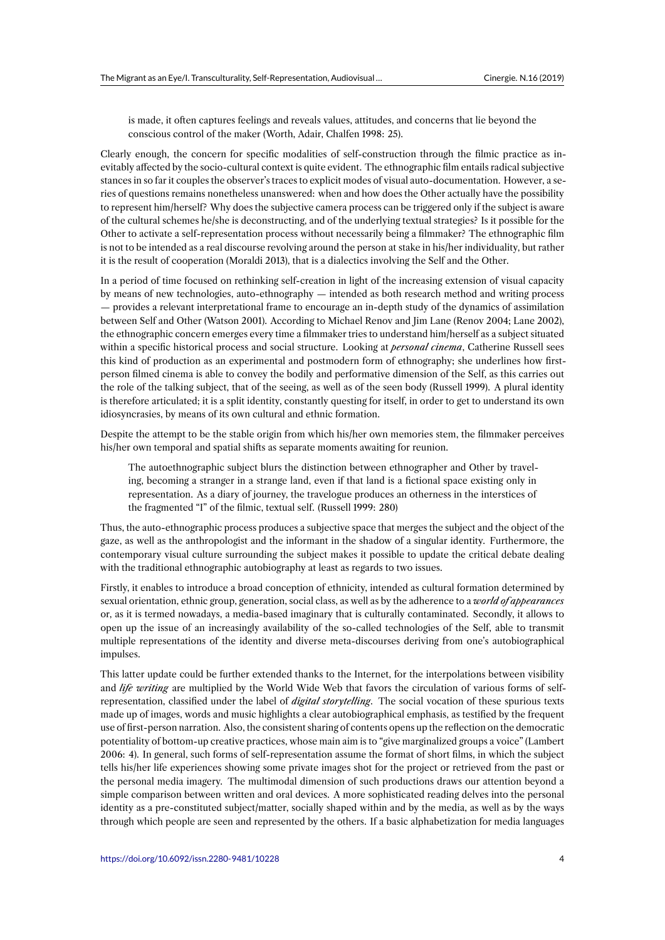is made, it often captures feelings and reveals values, attitudes, and concerns that lie beyond the conscious control of the maker (Worth, Adair, Chalfen 1998: 25).

Clearly enough, the concern for specific modalities of self-construction through the filmic practice as inevitably affected by the socio-cultural context is quite evident. The ethnographic film entails radical subjective stances in so far it couples the observer's traces to explicit modes of visual auto-documentation. However, a series of questions remains nonetheless unanswered: when and how does the Other actually have the possibility to represent him/herself? Why does the subjective camera process can be triggered only if the subject is aware of the cultural schemes he/she is deconstructing, and of the underlying textual strategies? Is it possible for the Other to activate a self-representation process without necessarily being a filmmaker? The ethnographic film is not to be intended as a real discourse revolving around the person at stake in his/her individuality, but rather it is the result of cooperation (Moraldi 2013), that is a dialectics involving the Self and the Other.

In a period of time focused on rethinking self-creation in light of the increasing extension of visual capacity by means of new technologies, auto-ethnography — intended as both research method and writing process — provides a relevant interpretational frame to encourage an in-depth study of the dynamics of assimilation between Self and Other (Watson 2001). According to Michael Renov and Jim Lane (Renov 2004; Lane 2002), the ethnographic concern emerges every time a filmmaker tries to understand him/herself as a subject situated within a specific historical process and social structure. Looking at *personal cinema*, Catherine Russell sees this kind of production as an experimental and postmodern form of ethnography; she underlines how firstperson filmed cinema is able to convey the bodily and performative dimension of the Self, as this carries out the role of the talking subject, that of the seeing, as well as of the seen body (Russell 1999). A plural identity is therefore articulated; it is a split identity, constantly questing for itself, in order to get to understand its own idiosyncrasies, by means of its own cultural and ethnic formation.

Despite the attempt to be the stable origin from which his/her own memories stem, the filmmaker perceives his/her own temporal and spatial shifts as separate moments awaiting for reunion.

The autoethnographic subject blurs the distinction between ethnographer and Other by traveling, becoming a stranger in a strange land, even if that land is a fictional space existing only in representation. As a diary of journey, the travelogue produces an otherness in the interstices of the fragmented "I" of the filmic, textual self. (Russell 1999: 280)

Thus, the auto-ethnographic process produces a subjective space that merges the subject and the object of the gaze, as well as the anthropologist and the informant in the shadow of a singular identity. Furthermore, the contemporary visual culture surrounding the subject makes it possible to update the critical debate dealing with the traditional ethnographic autobiography at least as regards to two issues.

Firstly, it enables to introduce a broad conception of ethnicity, intended as cultural formation determined by sexual orientation, ethnic group, generation, social class, as well as by the adherence to a *world of appearances* or, as it is termed nowadays, a media-based imaginary that is culturally contaminated. Secondly, it allows to open up the issue of an increasingly availability of the so-called technologies of the Self, able to transmit multiple representations of the identity and diverse meta-discourses deriving from one's autobiographical impulses.

This latter update could be further extended thanks to the Internet, for the interpolations between visibility and *life writing* are multiplied by the World Wide Web that favors the circulation of various forms of selfrepresentation, classified under the label of *digital storytelling*. The social vocation of these spurious texts made up of images, words and music highlights a clear autobiographical emphasis, as testified by the frequent use of first-person narration. Also, the consistent sharing of contents opens up the reflection on the democratic potentiality of bottom-up creative practices, whose main aim is to "give marginalized groups a voice" (Lambert 2006: 4). In general, such forms of self-representation assume the format of short films, in which the subject tells his/her life experiences showing some private images shot for the project or retrieved from the past or the personal media imagery. The multimodal dimension of such productions draws our attention beyond a simple comparison between written and oral devices. A more sophisticated reading delves into the personal identity as a pre-constituted subject/matter, socially shaped within and by the media, as well as by the ways through which people are seen and represented by the others. If a basic alphabetization for media languages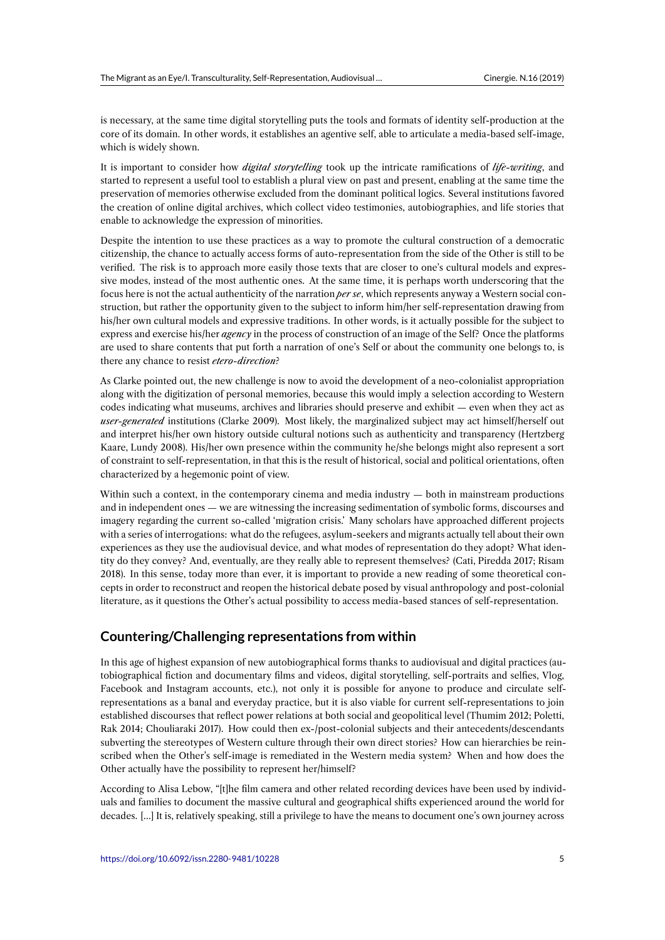is necessary, at the same time digital storytelling puts the tools and formats of identity self-production at the core of its domain. In other words, it establishes an agentive self, able to articulate a media-based self-image, which is widely shown.

It is important to consider how *digital storytelling* took up the intricate ramifications of *life-writing*, and started to represent a useful tool to establish a plural view on past and present, enabling at the same time the preservation of memories otherwise excluded from the dominant political logics. Several institutions favored the creation of online digital archives, which collect video testimonies, autobiographies, and life stories that enable to acknowledge the expression of minorities.

Despite the intention to use these practices as a way to promote the cultural construction of a democratic citizenship, the chance to actually access forms of auto-representation from the side of the Other is still to be verified. The risk is to approach more easily those texts that are closer to one's cultural models and expressive modes, instead of the most authentic ones. At the same time, it is perhaps worth underscoring that the focus here is not the actual authenticity of the narration *per se*, which represents anyway a Western social construction, but rather the opportunity given to the subject to inform him/her self-representation drawing from his/her own cultural models and expressive traditions. In other words, is it actually possible for the subject to express and exercise his/her *agency* in the process of construction of an image of the Self? Once the platforms are used to share contents that put forth a narration of one's Self or about the community one belongs to, is there any chance to resist *etero-direction*?

As Clarke pointed out, the new challenge is now to avoid the development of a neo-colonialist appropriation along with the digitization of personal memories, because this would imply a selection according to Western codes indicating what museums, archives and libraries should preserve and exhibit — even when they act as *user-generated* institutions (Clarke 2009). Most likely, the marginalized subject may act himself/herself out and interpret his/her own history outside cultural notions such as authenticity and transparency (Hertzberg Kaare, Lundy 2008). His/her own presence within the community he/she belongs might also represent a sort of constraint to self-representation, in that this is the result of historical, social and political orientations, often characterized by a hegemonic point of view.

Within such a context, in the contemporary cinema and media industry — both in mainstream productions and in independent ones — we are witnessing the increasing sedimentation of symbolic forms, discourses and imagery regarding the current so-called 'migration crisis.' Many scholars have approached different projects with a series of interrogations: what do the refugees, asylum-seekers and migrants actually tell about their own experiences as they use the audiovisual device, and what modes of representation do they adopt? What identity do they convey? And, eventually, are they really able to represent themselves? (Cati, Piredda 2017; Risam 2018). In this sense, today more than ever, it is important to provide a new reading of some theoretical concepts in order to reconstruct and reopen the historical debate posed by visual anthropology and post-colonial literature, as it questions the Other's actual possibility to access media-based stances of self-representation.

## **Countering/Challenging representations from within**

In this age of highest expansion of new autobiographical forms thanks to audiovisual and digital practices (autobiographical fiction and documentary films and videos, digital storytelling, self-portraits and selfies, Vlog, Facebook and Instagram accounts, etc.), not only it is possible for anyone to produce and circulate selfrepresentations as a banal and everyday practice, but it is also viable for current self-representations to join established discourses that reflect power relations at both social and geopolitical level (Thumim 2012; Poletti, Rak 2014; Chouliaraki 2017). How could then ex-/post-colonial subjects and their antecedents/descendants subverting the stereotypes of Western culture through their own direct stories? How can hierarchies be reinscribed when the Other's self-image is remediated in the Western media system? When and how does the Other actually have the possibility to represent her/himself?

According to Alisa Lebow, "[t]he film camera and other related recording devices have been used by individuals and families to document the massive cultural and geographical shifts experienced around the world for decades. […] It is, relatively speaking, still a privilege to have the means to document one's own journey across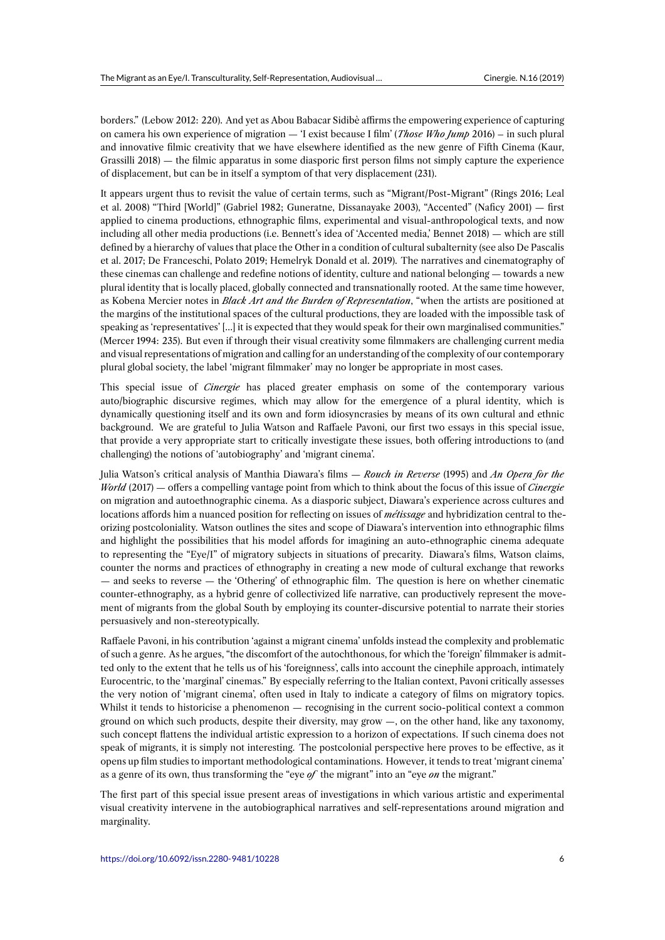borders." (Lebow 2012: 220). And yet as Abou Babacar Sidibè affirms the empowering experience of capturing on camera his own experience of migration — 'I exist because I film' (*Those Who Jump* 2016) – in such plural and innovative filmic creativity that we have elsewhere identified as the new genre of Fifth Cinema (Kaur, Grassilli 2018) — the filmic apparatus in some diasporic first person films not simply capture the experience of displacement, but can be in itself a symptom of that very displacement (231).

It appears urgent thus to revisit the value of certain terms, such as "Migrant/Post-Migrant" (Rings 2016; Leal et al. 2008) "Third [World]" (Gabriel 1982; Guneratne, Dissanayake 2003), "Accented" (Naficy 2001) — first applied to cinema productions, ethnographic films, experimental and visual-anthropological texts, and now including all other media productions (i.e. Bennett's idea of 'Accented media,' Bennet 2018) — which are still defined by a hierarchy of values that place the Other in a condition of cultural subalternity (see also De Pascalis et al. 2017; De Franceschi, Polato 2019; Hemelryk Donald et al. 2019). The narratives and cinematography of these cinemas can challenge and redefine notions of identity, culture and national belonging — towards a new plural identity that is locally placed, globally connected and transnationally rooted. At the same time however, as Kobena Mercier notes in *Black Art and the Burden of Representation*, "when the artists are positioned at the margins of the institutional spaces of the cultural productions, they are loaded with the impossible task of speaking as 'representatives' […] it is expected that they would speak for their own marginalised communities." (Mercer 1994: 235). But even if through their visual creativity some filmmakers are challenging current media and visual representations of migration and calling for an understanding of the complexity of our contemporary plural global society, the label 'migrant filmmaker' may no longer be appropriate in most cases.

This special issue of *Cinergie* has placed greater emphasis on some of the contemporary various auto/biographic discursive regimes, which may allow for the emergence of a plural identity, which is dynamically questioning itself and its own and form idiosyncrasies by means of its own cultural and ethnic background. We are grateful to Julia Watson and Raffaele Pavoni, our first two essays in this special issue, that provide a very appropriate start to critically investigate these issues, both offering introductions to (and challenging) the notions of 'autobiography' and 'migrant cinema'.

Julia Watson's critical analysis of Manthia Diawara's films — *Rouch in Reverse* (1995) and *An Opera for the World* (2017) — offers a compelling vantage point from which to think about the focus of this issue of *Cinergie* on migration and autoethnographic cinema. As a diasporic subject, Diawara's experience across cultures and locations affords him a nuanced position for reflecting on issues of *métissage* and hybridization central to theorizing postcoloniality. Watson outlines the sites and scope of Diawara's intervention into ethnographic films and highlight the possibilities that his model affords for imagining an auto-ethnographic cinema adequate to representing the "Eye/I" of migratory subjects in situations of precarity. Diawara's films, Watson claims, counter the norms and practices of ethnography in creating a new mode of cultural exchange that reworks — and seeks to reverse — the 'Othering' of ethnographic film. The question is here on whether cinematic counter-ethnography, as a hybrid genre of collectivized life narrative, can productively represent the movement of migrants from the global South by employing its counter-discursive potential to narrate their stories persuasively and non-stereotypically.

Raffaele Pavoni, in his contribution 'against a migrant cinema' unfolds instead the complexity and problematic of such a genre. As he argues, "the discomfort of the autochthonous, for which the 'foreign' filmmaker is admitted only to the extent that he tells us of his 'foreignness', calls into account the cinephile approach, intimately Eurocentric, to the 'marginal' cinemas." By especially referring to the Italian context, Pavoni critically assesses the very notion of 'migrant cinema', often used in Italy to indicate a category of films on migratory topics. Whilst it tends to historicise a phenomenon — recognising in the current socio-political context a common ground on which such products, despite their diversity, may grow —, on the other hand, like any taxonomy, such concept flattens the individual artistic expression to a horizon of expectations. If such cinema does not speak of migrants, it is simply not interesting. The postcolonial perspective here proves to be effective, as it opens up film studies to important methodological contaminations. However, it tends to treat 'migrant cinema' as a genre of its own, thus transforming the "eye *of* the migrant" into an "eye *on* the migrant."

The first part of this special issue present areas of investigations in which various artistic and experimental visual creativity intervene in the autobiographical narratives and self-representations around migration and marginality.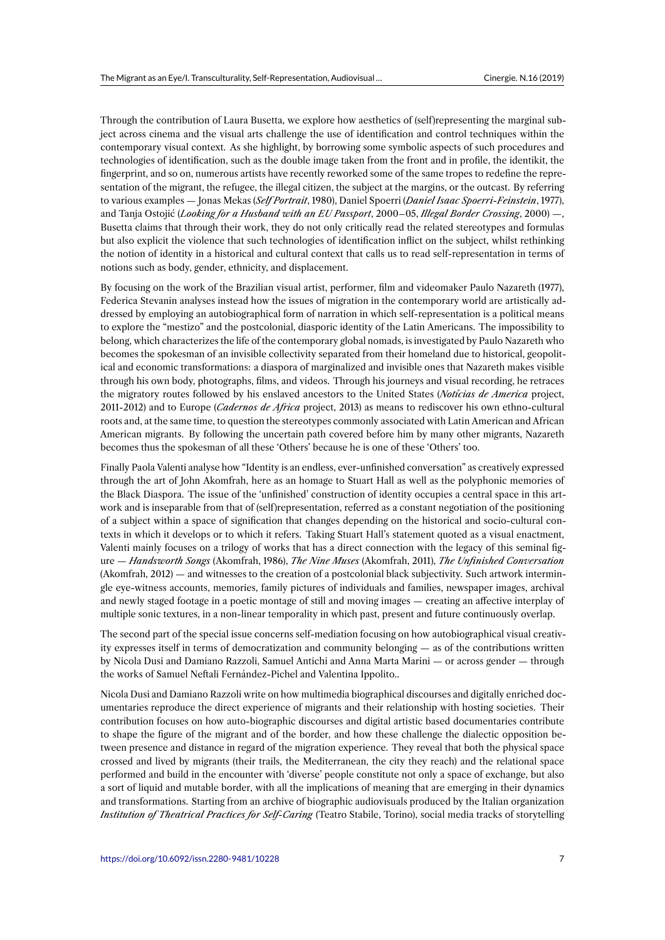Through the contribution of Laura Busetta, we explore how aesthetics of (self)representing the marginal subject across cinema and the visual arts challenge the use of identification and control techniques within the contemporary visual context. As she highlight, by borrowing some symbolic aspects of such procedures and technologies of identification, such as the double image taken from the front and in profile, the identikit, the fingerprint, and so on, numerous artists have recently reworked some of the same tropes to redefine the representation of the migrant, the refugee, the illegal citizen, the subject at the margins, or the outcast. By referring to various examples — Jonas Mekas (*Self Portrait*, 1980), Daniel Spoerri (*Daniel Isaac Spoerri-Feinstein*, 1977), and Tanja Ostojić (*Looking for a Husband with an EU Passport*, 2000–05, *Illegal Border Crossing*, 2000) —, Busetta claims that through their work, they do not only critically read the related stereotypes and formulas but also explicit the violence that such technologies of identification inflict on the subject, whilst rethinking the notion of identity in a historical and cultural context that calls us to read self-representation in terms of notions such as body, gender, ethnicity, and displacement.

By focusing on the work of the Brazilian visual artist, performer, film and videomaker Paulo Nazareth (1977), Federica Stevanin analyses instead how the issues of migration in the contemporary world are artistically addressed by employing an autobiographical form of narration in which self-representation is a political means to explore the "mestizo" and the postcolonial, diasporic identity of the Latin Americans. The impossibility to belong, which characterizes the life of the contemporary global nomads, is investigated by Paulo Nazareth who becomes the spokesman of an invisible collectivity separated from their homeland due to historical, geopolitical and economic transformations: a diaspora of marginalized and invisible ones that Nazareth makes visible through his own body, photographs, films, and videos. Through his journeys and visual recording, he retraces the migratory routes followed by his enslaved ancestors to the United States (*Notícias de America* project, 2011-2012) and to Europe (*Cadernos de Africa* project, 2013) as means to rediscover his own ethno-cultural roots and, at the same time, to question the stereotypes commonly associated with Latin American and African American migrants. By following the uncertain path covered before him by many other migrants, Nazareth becomes thus the spokesman of all these 'Others' because he is one of these 'Others' too.

Finally Paola Valenti analyse how "Identity is an endless, ever-unfinished conversation" as creatively expressed through the art of John Akomfrah, here as an homage to Stuart Hall as well as the polyphonic memories of the Black Diaspora. The issue of the 'unfinished' construction of identity occupies a central space in this artwork and is inseparable from that of (self)representation, referred as a constant negotiation of the positioning of a subject within a space of signification that changes depending on the historical and socio-cultural contexts in which it develops or to which it refers. Taking Stuart Hall's statement quoted as a visual enactment, Valenti mainly focuses on a trilogy of works that has a direct connection with the legacy of this seminal figure — *Handsworth Songs* (Akomfrah, 1986), *The Nine Muses* (Akomfrah, 2011), *The Unfinished Conversation* (Akomfrah, 2012) — and witnesses to the creation of a postcolonial black subjectivity. Such artwork intermingle eye-witness accounts, memories, family pictures of individuals and families, newspaper images, archival and newly staged footage in a poetic montage of still and moving images — creating an affective interplay of multiple sonic textures, in a non-linear temporality in which past, present and future continuously overlap.

The second part of the special issue concerns self-mediation focusing on how autobiographical visual creativity expresses itself in terms of democratization and community belonging — as of the contributions written by Nicola Dusi and Damiano Razzoli, Samuel Antichi and Anna Marta Marini — or across gender — through the works of Samuel Neftali Fernández-Pichel and Valentina Ippolito..

Nicola Dusi and Damiano Razzoli write on how multimedia biographical discourses and digitally enriched documentaries reproduce the direct experience of migrants and their relationship with hosting societies. Their contribution focuses on how auto-biographic discourses and digital artistic based documentaries contribute to shape the figure of the migrant and of the border, and how these challenge the dialectic opposition between presence and distance in regard of the migration experience. They reveal that both the physical space crossed and lived by migrants (their trails, the Mediterranean, the city they reach) and the relational space performed and build in the encounter with 'diverse' people constitute not only a space of exchange, but also a sort of liquid and mutable border, with all the implications of meaning that are emerging in their dynamics and transformations. Starting from an archive of biographic audiovisuals produced by the Italian organization *Institution of Theatrical Practices for Self-Caring* (Teatro Stabile, Torino), social media tracks of storytelling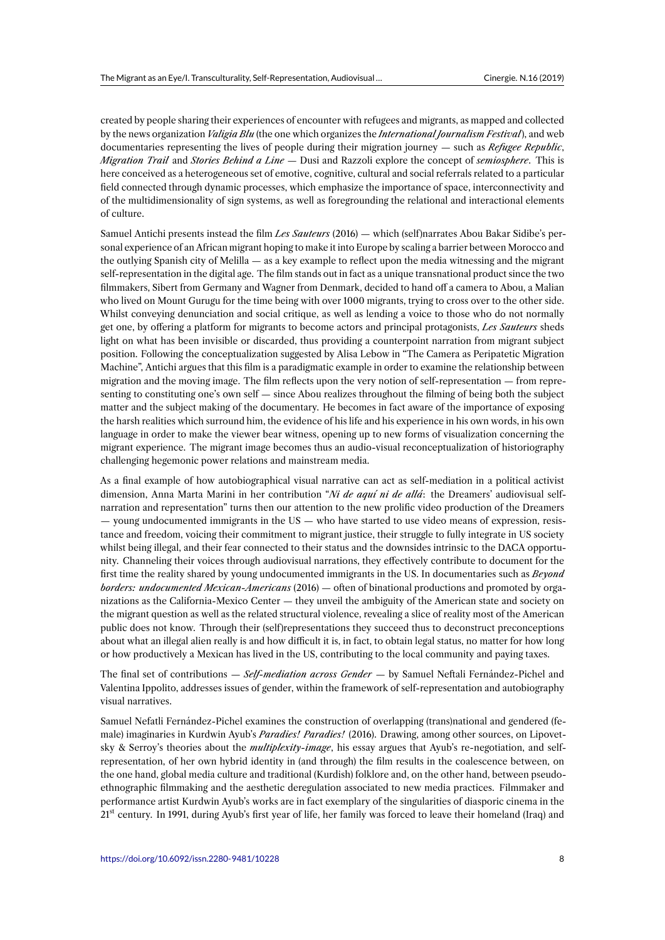created by people sharing their experiences of encounter with refugees and migrants, as mapped and collected by the news organization *Valigia Blu* (the one which organizes the *International Journalism Festival*), and web documentaries representing the lives of people during their migration journey — such as *Refugee Republic*, *Migration Trail* and *Stories Behind a Line* — Dusi and Razzoli explore the concept of *semiosphere*. This is here conceived as a heterogeneous set of emotive, cognitive, cultural and social referrals related to a particular field connected through dynamic processes, which emphasize the importance of space, interconnectivity and of the multidimensionality of sign systems, as well as foregrounding the relational and interactional elements of culture.

Samuel Antichi presents instead the film *Les Sauteurs* (2016) — which (self)narrates Abou Bakar Sidibe's personal experience of an African migrant hoping to make it into Europe by scaling a barrier between Morocco and the outlying Spanish city of Melilla — as a key example to reflect upon the media witnessing and the migrant self-representation in the digital age. The film stands out in fact as a unique transnational product since the two filmmakers, Sibert from Germany and Wagner from Denmark, decided to hand off a camera to Abou, a Malian who lived on Mount Gurugu for the time being with over 1000 migrants, trying to cross over to the other side. Whilst conveying denunciation and social critique, as well as lending a voice to those who do not normally get one, by offering a platform for migrants to become actors and principal protagonists, *Les Sauteurs* sheds light on what has been invisible or discarded, thus providing a counterpoint narration from migrant subject position. Following the conceptualization suggested by Alisa Lebow in "The Camera as Peripatetic Migration Machine", Antichi argues that this film is a paradigmatic example in order to examine the relationship between migration and the moving image. The film reflects upon the very notion of self-representation — from representing to constituting one's own self — since Abou realizes throughout the filming of being both the subject matter and the subject making of the documentary. He becomes in fact aware of the importance of exposing the harsh realities which surround him, the evidence of his life and his experience in his own words, in his own language in order to make the viewer bear witness, opening up to new forms of visualization concerning the migrant experience. The migrant image becomes thus an audio-visual reconceptualization of historiography challenging hegemonic power relations and mainstream media.

As a final example of how autobiographical visual narrative can act as self-mediation in a political activist dimension, Anna Marta Marini in her contribution "*Ni de aquí ni de allá*: the Dreamers' audiovisual selfnarration and representation" turns then our attention to the new prolific video production of the Dreamers — young undocumented immigrants in the US — who have started to use video means of expression, resistance and freedom, voicing their commitment to migrant justice, their struggle to fully integrate in US society whilst being illegal, and their fear connected to their status and the downsides intrinsic to the DACA opportunity. Channeling their voices through audiovisual narrations, they effectively contribute to document for the first time the reality shared by young undocumented immigrants in the US. In documentaries such as *Beyond borders: undocumented Mexican-Americans* (2016) — often of binational productions and promoted by organizations as the California-Mexico Center — they unveil the ambiguity of the American state and society on the migrant question as well as the related structural violence, revealing a slice of reality most of the American public does not know. Through their (self)representations they succeed thus to deconstruct preconceptions about what an illegal alien really is and how difficult it is, in fact, to obtain legal status, no matter for how long or how productively a Mexican has lived in the US, contributing to the local community and paying taxes.

The final set of contributions — *Self-mediation across Gender* — by Samuel Neftali Fernández-Pichel and Valentina Ippolito, addresses issues of gender, within the framework of self-representation and autobiography visual narratives.

Samuel Nefatli Fernández-Pichel examines the construction of overlapping (trans)national and gendered (female) imaginaries in Kurdwin Ayub's *Paradies! Paradies!* (2016). Drawing, among other sources, on Lipovetsky & Serroy's theories about the *multiplexity-image*, his essay argues that Ayub's re-negotiation, and selfrepresentation, of her own hybrid identity in (and through) the film results in the coalescence between, on the one hand, global media culture and traditional (Kurdish) folklore and, on the other hand, between pseudoethnographic filmmaking and the aesthetic deregulation associated to new media practices. Filmmaker and performance artist Kurdwin Ayub's works are in fact exemplary of the singularities of diasporic cinema in the 21<sup>st</sup> century. In 1991, during Ayub's first year of life, her family was forced to leave their homeland (Iraq) and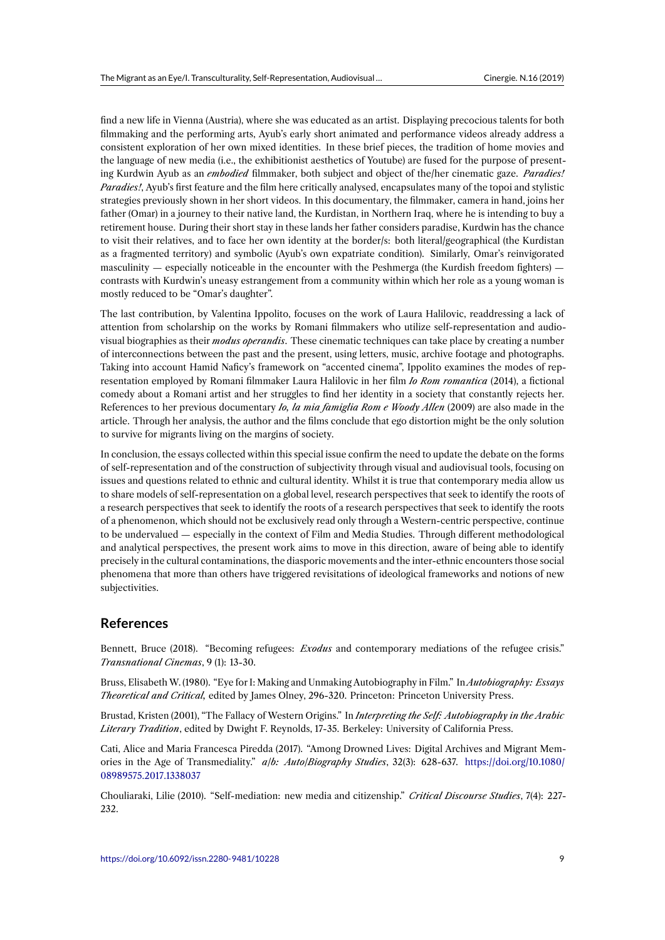find a new life in Vienna (Austria), where she was educated as an artist. Displaying precocious talents for both filmmaking and the performing arts, Ayub's early short animated and performance videos already address a consistent exploration of her own mixed identities. In these brief pieces, the tradition of home movies and the language of new media (i.e., the exhibitionist aesthetics of Youtube) are fused for the purpose of presenting Kurdwin Ayub as an *embodied* filmmaker, both subject and object of the/her cinematic gaze. *Paradies! Paradies!*, Ayub's first feature and the film here critically analysed, encapsulates many of the topoi and stylistic strategies previously shown in her short videos. In this documentary, the filmmaker, camera in hand, joins her father (Omar) in a journey to their native land, the Kurdistan, in Northern Iraq, where he is intending to buy a retirement house. During their short stay in these lands her father considers paradise, Kurdwin has the chance to visit their relatives, and to face her own identity at the border/s: both literal/geographical (the Kurdistan as a fragmented territory) and symbolic (Ayub's own expatriate condition). Similarly, Omar's reinvigorated masculinity — especially noticeable in the encounter with the Peshmerga (the Kurdish freedom fighters) contrasts with Kurdwin's uneasy estrangement from a community within which her role as a young woman is mostly reduced to be "Omar's daughter".

The last contribution, by Valentina Ippolito, focuses on the work of Laura Halilovic, readdressing a lack of attention from scholarship on the works by Romani filmmakers who utilize self-representation and audiovisual biographies as their *modus operandis*. These cinematic techniques can take place by creating a number of interconnections between the past and the present, using letters, music, archive footage and photographs. Taking into account Hamid Naficy's framework on "accented cinema", Ippolito examines the modes of representation employed by Romani filmmaker Laura Halilovic in her film *Io Rom romantica* (2014), a fictional comedy about a Romani artist and her struggles to find her identity in a society that constantly rejects her. References to her previous documentary *Io, la mia famiglia Rom e Woody Allen* (2009) are also made in the article. Through her analysis, the author and the films conclude that ego distortion might be the only solution to survive for migrants living on the margins of society.

In conclusion, the essays collected within this special issue confirm the need to update the debate on the forms of self-representation and of the construction of subjectivity through visual and audiovisual tools, focusing on issues and questions related to ethnic and cultural identity. Whilst it is true that contemporary media allow us to share models of self-representation on a global level, research perspectives that seek to identify the roots of a research perspectives that seek to identify the roots of a research perspectives that seek to identify the roots of a phenomenon, which should not be exclusively read only through a Western-centric perspective, continue to be undervalued — especially in the context of Film and Media Studies. Through different methodological and analytical perspectives, the present work aims to move in this direction, aware of being able to identify precisely in the cultural contaminations, the diasporic movements and the inter-ethnic encounters those social phenomena that more than others have triggered revisitations of ideological frameworks and notions of new subjectivities.

## **References**

Bennett, Bruce (2018). "Becoming refugees: *Exodus* and contemporary mediations of the refugee crisis." *Transnational Cinemas*, 9 (1): 13-30.

Bruss, Elisabeth W. (1980). "Eye for I: Making and Unmaking Autobiography in Film." In *Autobiography: Essays Theoretical and Critical,* edited by James Olney, 296-320. Princeton: Princeton University Press.

Brustad, Kristen (2001), "The Fallacy of Western Origins." In *Interpreting the Self: Autobiography in the Arabic Literary Tradition*, edited by Dwight F. Reynolds, 17-35. Berkeley: University of California Press.

Cati, Alice and Maria Francesca Piredda (2017). "Among Drowned Lives: Digital Archives and Migrant Memories in the Age of Transmediality." *a/b: Auto/Biography Studies*, 32(3): 628-637. https://doi.org/10.1080/ 08989575.2017.1338037

Chouliaraki, Lilie (2010). "Self-mediation: new media and citizenship." *Critical Discourse Studies*, 7(4): 227- 232.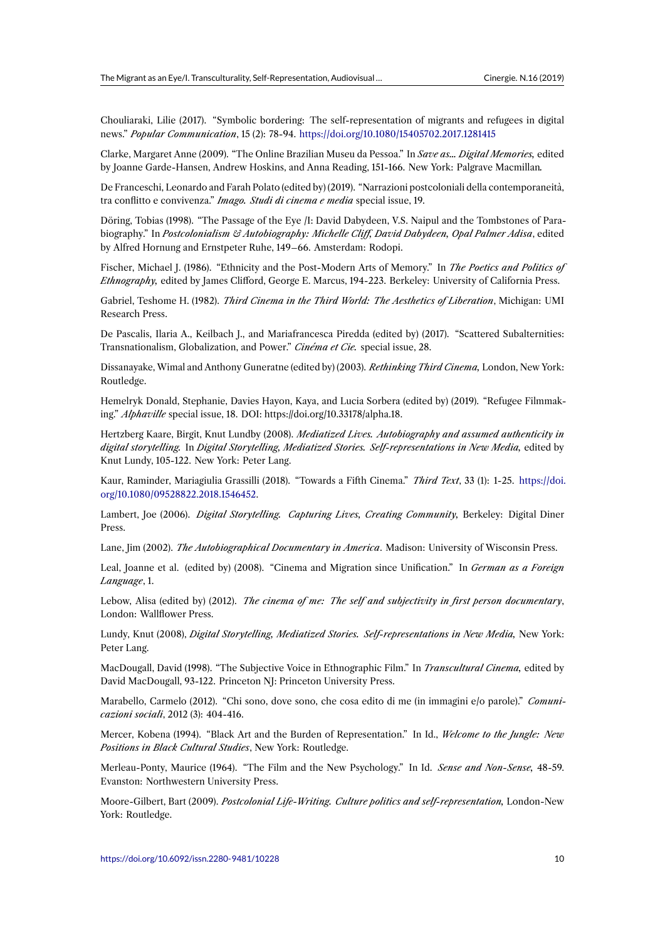Chouliaraki, Lilie (2017). "Symbolic bordering: The self-representation of migrants and refugees in digital news." *Popular Communication*, 15 (2): 78-94. https://doi.org/10.1080/15405702.2017.1281415

Clarke, Margaret Anne (2009). "The Online Brazilian Museu da Pessoa." In *Save as… Digital Memories,* edited by Joanne Garde-Hansen, Andrew Hoskins, and Anna Reading, 151-166. New York: Palgrave Macmillan*.*

De Franceschi, Leonardo and Farah Polato (edi[ted by\) \(2019\). "Narrazioni postcoloniali della co](https://doi.org/10.1080/15405702.2017.1281415)ntemporaneità, tra conflitto e convivenza." *Imago. Studi di cinema e media* special issue, 19.

Döring, Tobias (1998). "The Passage of the Eye /I: David Dabydeen, V.S. Naipul and the Tombstones of Parabiography." In *Postcolonialism & Autobiography: Michelle Cliff, David Dabydeen, Opal Palmer Adisa*, edited by Alfred Hornung and Ernstpeter Ruhe, 149–66. Amsterdam: Rodopi.

Fischer, Michael J. (1986). "Ethnicity and the Post-Modern Arts of Memory." In *The Poetics and Politics of Ethnography,* edited by James Clifford, George E. Marcus, 194-223. Berkeley: University of California Press.

Gabriel, Teshome H. (1982). *Third Cinema in the Third World: The Aesthetics of Liberation*, Michigan: UMI Research Press.

De Pascalis, Ilaria A., Keilbach J., and Mariafrancesca Piredda (edited by) (2017). "Scattered Subalternities: Transnationalism, Globalization, and Power." *Cinéma et Cie.* special issue, 28.

Dissanayake, Wimal and Anthony Guneratne (edited by) (2003). *Rethinking Third Cinema,* London, New York: Routledge.

Hemelryk Donald, Stephanie, Davies Hayon, Kaya, and Lucia Sorbera (edited by) (2019). "Refugee Filmmaking." *Alphaville* special issue, 18. DOI: https://doi.org/10.33178/alpha.18.

Hertzberg Kaare, Birgit, Knut Lundby (2008). *Mediatized Lives. Autobiography and assumed authenticity in digital storytelling.* In *Digital Storytelling, Mediatized Stories. Self-representations in New Media,* edited by Knut Lundy, 105-122. New York: Peter Lang.

Kaur, Raminder, Mariagiulia Grassilli (2018). "Towards a Fifth Cinema." *Third Text*, 33 (1): 1-25. https://doi. org/10.1080/09528822.2018.1546452.

Lambert, Joe (2006). *Digital Storytelling. Capturing Lives, Creating Community,* Berkeley: Digital Diner Press.

Lane, Jim (2002). *[The Autobiographi](https://doi.org/10.1080/09528822.2018.1546452)cal Documentary in America*. Madison: University of Wisconsin Press.

Leal, Joanne et al. (edited by) (2008). "Cinema and Migration since Unification." In *German as a Foreign Language*, 1.

Lebow, Alisa (edited by) (2012). *The cinema of me: The self and subjectivity in first person documentary*, London: Wallflower Press.

Lundy, Knut (2008), *Digital Storytelling, Mediatized Stories. Self-representations in New Media,* New York: Peter Lang.

MacDougall, David (1998). "The Subjective Voice in Ethnographic Film." In *Transcultural Cinema,* edited by David MacDougall, 93-122. Princeton NJ: Princeton University Press.

Marabello, Carmelo (2012). "Chi sono, dove sono, che cosa edito di me (in immagini e/o parole)." *Comunicazioni sociali*, 2012 (3): 404-416.

Mercer, Kobena (1994). "Black Art and the Burden of Representation." In Id., *Welcome to the Jungle: New Positions in Black Cultural Studies*, New York: Routledge.

Merleau-Ponty, Maurice (1964). "The Film and the New Psychology." In Id. *Sense and Non-Sense,* 48-59. Evanston: Northwestern University Press.

Moore-Gilbert, Bart (2009). *Postcolonial Life-Writing. Culture politics and self-representation,* London-New York: Routledge.